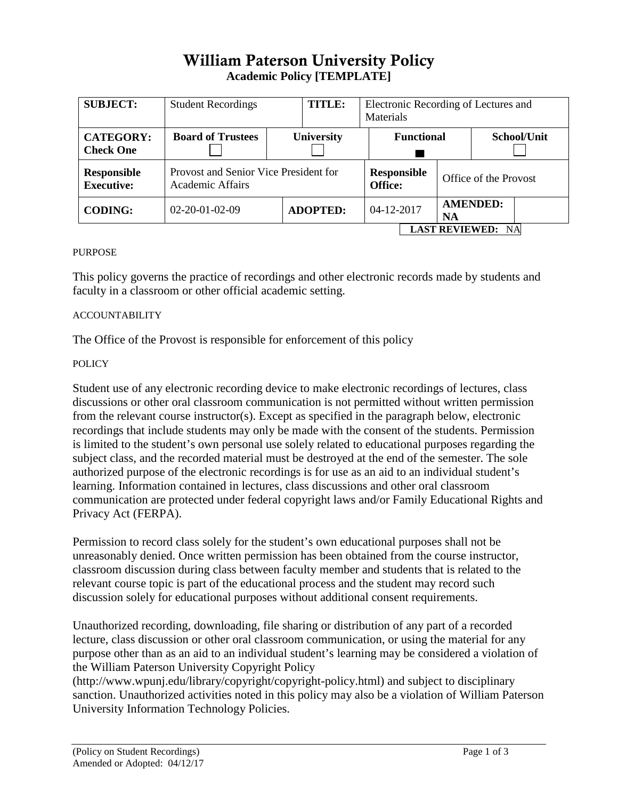# William Paterson University Policy **Academic Policy [TEMPLATE]**

| <b>SUBJECT:</b>                         | <b>Student Recordings</b>                                        | <b>TITLE:</b>     | Electronic Recording of Lectures and<br>Materials |                                      |  |                       |                                    |  |  |
|-----------------------------------------|------------------------------------------------------------------|-------------------|---------------------------------------------------|--------------------------------------|--|-----------------------|------------------------------------|--|--|
| <b>CATEGORY:</b><br><b>Check One</b>    | <b>Board of Trustees</b>                                         | <b>University</b> |                                                   | <b>Functional</b>                    |  |                       | School/Unit                        |  |  |
| <b>Responsible</b><br><b>Executive:</b> | Provost and Senior Vice President for<br><b>Academic Affairs</b> |                   |                                                   | <b>Responsible</b><br><b>Office:</b> |  | Office of the Provost |                                    |  |  |
| <b>CODING:</b>                          | $02 - 20 - 01 - 02 - 09$                                         | <b>ADOPTED:</b>   |                                                   | 04-12-2017                           |  | <b>NA</b>             | <b>AMENDED:</b>                    |  |  |
|                                         |                                                                  |                   |                                                   |                                      |  |                       | <b>LAST REVIEWED:</b><br><b>NA</b> |  |  |

## PURPOSE

This policy governs the practice of recordings and other electronic records made by students and faculty in a classroom or other official academic setting.

## ACCOUNTABILITY

The Office of the Provost is responsible for enforcement of this policy

## **POLICY**

Student use of any electronic recording device to make electronic recordings of lectures, class discussions or other oral classroom communication is not permitted without written permission from the relevant course instructor(s). Except as specified in the paragraph below, electronic recordings that include students may only be made with the consent of the students. Permission is limited to the student's own personal use solely related to educational purposes regarding the subject class, and the recorded material must be destroyed at the end of the semester. The sole authorized purpose of the electronic recordings is for use as an aid to an individual student's learning. Information contained in lectures, class discussions and other oral classroom communication are protected under federal copyright laws and/or Family Educational Rights and Privacy Act (FERPA).

Permission to record class solely for the student's own educational purposes shall not be unreasonably denied. Once written permission has been obtained from the course instructor, classroom discussion during class between faculty member and students that is related to the relevant course topic is part of the educational process and the student may record such discussion solely for educational purposes without additional consent requirements.

Unauthorized recording, downloading, file sharing or distribution of any part of a recorded lecture, class discussion or other oral classroom communication, or using the material for any purpose other than as an aid to an individual student's learning may be considered a violation of the William Paterson University Copyright Policy

(http://www.wpunj.edu/library/copyright/copyright-policy.html) and subject to disciplinary sanction. Unauthorized activities noted in this policy may also be a violation of William Paterson University Information Technology Policies.